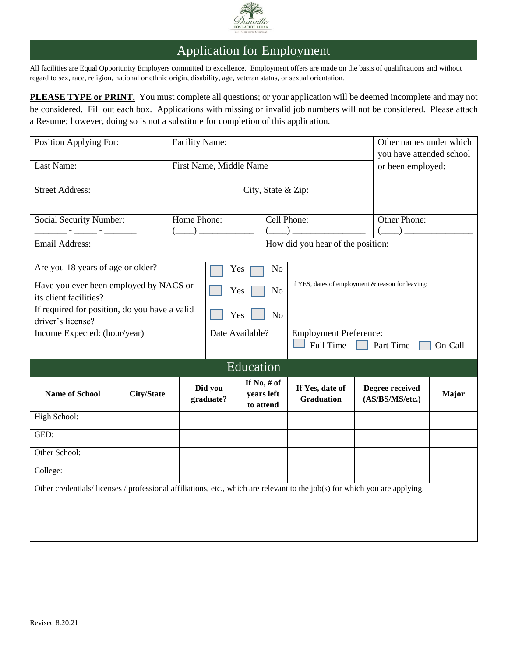

## Application for Employment

All facilities are Equal Opportunity Employers committed to excellence. Employment offers are made on the basis of qualifications and without regard to sex, race, religion, national or ethnic origin, disability, age, veteran status, or sexual orientation.

**PLEASE TYPE or PRINT.** You must complete all questions; or your application will be deemed incomplete and may not be considered. Fill out each box. Applications with missing or invalid job numbers will not be considered. Please attach a Resume; however, doing so is not a substitute for completion of this application.

| Position Applying For:<br><b>Facility Name:</b>                                                                            |                   |                    |                                                               |                                                                                                                                                                                                                                                                                                                                                     |                                          | Other names under which                                                                                                                                                                                                                                                                                                                                             |         |                                               |              |
|----------------------------------------------------------------------------------------------------------------------------|-------------------|--------------------|---------------------------------------------------------------|-----------------------------------------------------------------------------------------------------------------------------------------------------------------------------------------------------------------------------------------------------------------------------------------------------------------------------------------------------|------------------------------------------|---------------------------------------------------------------------------------------------------------------------------------------------------------------------------------------------------------------------------------------------------------------------------------------------------------------------------------------------------------------------|---------|-----------------------------------------------|--------------|
| Last Name:                                                                                                                 |                   |                    | First Name, Middle Name                                       |                                                                                                                                                                                                                                                                                                                                                     |                                          |                                                                                                                                                                                                                                                                                                                                                                     |         | you have attended school<br>or been employed: |              |
| <b>Street Address:</b>                                                                                                     |                   | City, State & Zip: |                                                               |                                                                                                                                                                                                                                                                                                                                                     |                                          |                                                                                                                                                                                                                                                                                                                                                                     |         |                                               |              |
| Home Phone:<br><b>Social Security Number:</b><br>$\begin{pmatrix} 1 & 1 \\ 1 & 1 \end{pmatrix}$                            |                   | Cell Phone:        |                                                               | $\begin{picture}(20,10) \put(0,0){\line(1,0){10}} \put(15,0){\line(1,0){10}} \put(15,0){\line(1,0){10}} \put(15,0){\line(1,0){10}} \put(15,0){\line(1,0){10}} \put(15,0){\line(1,0){10}} \put(15,0){\line(1,0){10}} \put(15,0){\line(1,0){10}} \put(15,0){\line(1,0){10}} \put(15,0){\line(1,0){10}} \put(15,0){\line(1,0){10}} \put(15,0){\line(1$ |                                          | Other Phone:<br>$\begin{picture}(20,20) \put(0,0){\line(1,0){10}} \put(15,0){\line(1,0){10}} \put(15,0){\line(1,0){10}} \put(15,0){\line(1,0){10}} \put(15,0){\line(1,0){10}} \put(15,0){\line(1,0){10}} \put(15,0){\line(1,0){10}} \put(15,0){\line(1,0){10}} \put(15,0){\line(1,0){10}} \put(15,0){\line(1,0){10}} \put(15,0){\line(1,0){10}} \put(15,0){\line(1$ |         |                                               |              |
| Email Address:                                                                                                             |                   |                    |                                                               | How did you hear of the position:                                                                                                                                                                                                                                                                                                                   |                                          |                                                                                                                                                                                                                                                                                                                                                                     |         |                                               |              |
| Are you 18 years of age or older?<br>Yes                                                                                   |                   |                    | No                                                            |                                                                                                                                                                                                                                                                                                                                                     |                                          |                                                                                                                                                                                                                                                                                                                                                                     |         |                                               |              |
| Have you ever been employed by NACS or<br>its client facilities?                                                           |                   |                    | Yes                                                           |                                                                                                                                                                                                                                                                                                                                                     | <b>No</b>                                | If YES, dates of employment & reason for leaving:                                                                                                                                                                                                                                                                                                                   |         |                                               |              |
| If required for position, do you have a valid<br>Yes<br>driver's license?                                                  |                   |                    |                                                               | N <sub>o</sub>                                                                                                                                                                                                                                                                                                                                      |                                          |                                                                                                                                                                                                                                                                                                                                                                     |         |                                               |              |
| Income Expected: (hour/year)                                                                                               |                   |                    | Date Available?<br><b>Employment Preference:</b><br>Full Time |                                                                                                                                                                                                                                                                                                                                                     |                                          | $\Box$ Part Time                                                                                                                                                                                                                                                                                                                                                    | On-Call |                                               |              |
|                                                                                                                            |                   |                    |                                                               | Education                                                                                                                                                                                                                                                                                                                                           |                                          |                                                                                                                                                                                                                                                                                                                                                                     |         |                                               |              |
| <b>Name of School</b>                                                                                                      | <b>City/State</b> |                    | Did you<br>graduate?                                          |                                                                                                                                                                                                                                                                                                                                                     | If No, $#$ of<br>years left<br>to attend | If Yes, date of<br><b>Graduation</b>                                                                                                                                                                                                                                                                                                                                |         | Degree received<br>(AS/BS/MS/etc.)            | <b>Major</b> |
| High School:                                                                                                               |                   |                    |                                                               |                                                                                                                                                                                                                                                                                                                                                     |                                          |                                                                                                                                                                                                                                                                                                                                                                     |         |                                               |              |
| GED:                                                                                                                       |                   |                    |                                                               |                                                                                                                                                                                                                                                                                                                                                     |                                          |                                                                                                                                                                                                                                                                                                                                                                     |         |                                               |              |
| Other School:                                                                                                              |                   |                    |                                                               |                                                                                                                                                                                                                                                                                                                                                     |                                          |                                                                                                                                                                                                                                                                                                                                                                     |         |                                               |              |
| College:                                                                                                                   |                   |                    |                                                               |                                                                                                                                                                                                                                                                                                                                                     |                                          |                                                                                                                                                                                                                                                                                                                                                                     |         |                                               |              |
| Other credentials/licenses / professional affiliations, etc., which are relevant to the job(s) for which you are applying. |                   |                    |                                                               |                                                                                                                                                                                                                                                                                                                                                     |                                          |                                                                                                                                                                                                                                                                                                                                                                     |         |                                               |              |
|                                                                                                                            |                   |                    |                                                               |                                                                                                                                                                                                                                                                                                                                                     |                                          |                                                                                                                                                                                                                                                                                                                                                                     |         |                                               |              |
|                                                                                                                            |                   |                    |                                                               |                                                                                                                                                                                                                                                                                                                                                     |                                          |                                                                                                                                                                                                                                                                                                                                                                     |         |                                               |              |
|                                                                                                                            |                   |                    |                                                               |                                                                                                                                                                                                                                                                                                                                                     |                                          |                                                                                                                                                                                                                                                                                                                                                                     |         |                                               |              |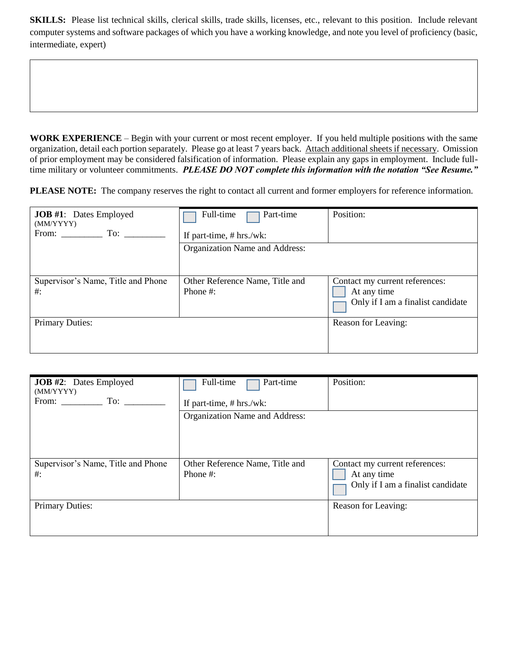**SKILLS:** Please list technical skills, clerical skills, trade skills, licenses, etc., relevant to this position. Include relevant computer systems and software packages of which you have a working knowledge, and note you level of proficiency (basic, intermediate, expert)

**WORK EXPERIENCE** – Begin with your current or most recent employer. If you held multiple positions with the same organization, detail each portion separately. Please go at least 7 years back. Attach additional sheets if necessary. Omission of prior employment may be considered falsification of information. Please explain any gaps in employment. Include fulltime military or volunteer commitments. *PLEASE DO NOT complete this information with the notation "See Resume."*

**PLEASE NOTE:** The company reserves the right to contact all current and former employers for reference information.

| <b>JOB</b> #1: Dates Employed<br>(MM/YYYY)<br>From: To: | Full-time<br>Part-time<br>If part-time, $# hrs./wk$ : | Position:                                                                          |
|---------------------------------------------------------|-------------------------------------------------------|------------------------------------------------------------------------------------|
|                                                         | Organization Name and Address:                        |                                                                                    |
| Supervisor's Name, Title and Phone<br>$\#$ :            | Other Reference Name, Title and<br>Phone #:           | Contact my current references:<br>At any time<br>Only if I am a finalist candidate |
| <b>Primary Duties:</b>                                  |                                                       | Reason for Leaving:                                                                |

| <b>JOB</b> #2: Dates Employed<br>(MM/YYYY)<br>From: To: | Full-time<br>Part-time<br>If part-time, $# hrs./wk$ : | Position:                                                                          |
|---------------------------------------------------------|-------------------------------------------------------|------------------------------------------------------------------------------------|
|                                                         | Organization Name and Address:                        |                                                                                    |
| Supervisor's Name, Title and Phone<br>$\#$ :            | Other Reference Name, Title and<br>Phone #:           | Contact my current references:<br>At any time<br>Only if I am a finalist candidate |
| <b>Primary Duties:</b>                                  |                                                       | Reason for Leaving:                                                                |